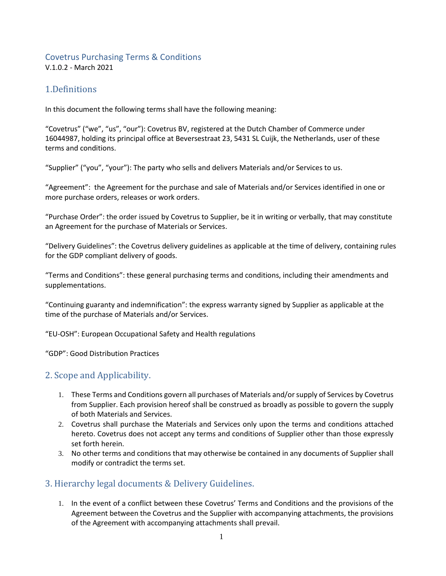#### Covetrus Purchasing Terms & Conditions V.1.0.2 - March 2021

# 1.Definitions

In this document the following terms shall have the following meaning:

"Covetrus" ("we", "us", "our"): Covetrus BV, registered at the Dutch Chamber of Commerce under 16044987, holding its principal office at Beversestraat 23, 5431 SL Cuijk, the Netherlands, user of these terms and conditions.

"Supplier" ("you", "your"): The party who sells and delivers Materials and/or Services to us.

"Agreement": the Agreement for the purchase and sale of Materials and/or Services identified in one or more purchase orders, releases or work orders.

"Purchase Order": the order issued by Covetrus to Supplier, be it in writing or verbally, that may constitute an Agreement for the purchase of Materials or Services.

"Delivery Guidelines": the Covetrus delivery guidelines as applicable at the time of delivery, containing rules for the GDP compliant delivery of goods.

"Terms and Conditions": these general purchasing terms and conditions, including their amendments and supplementations.

"Continuing guaranty and indemnification": the express warranty signed by Supplier as applicable at the time of the purchase of Materials and/or Services.

"EU-OSH": European Occupational Safety and Health regulations

"GDP": Good Distribution Practices

# 2. Scope and Applicability.

- 1. These Terms and Conditions govern all purchases of Materials and/or supply of Services by Covetrus from Supplier. Each provision hereof shall be construed as broadly as possible to govern the supply of both Materials and Services.
- 2. Covetrus shall purchase the Materials and Services only upon the terms and conditions attached hereto. Covetrus does not accept any terms and conditions of Supplier other than those expressly set forth herein.
- 3. No other terms and conditions that may otherwise be contained in any documents of Supplier shall modify or contradict the terms set.

# 3. Hierarchy legal documents & Delivery Guidelines.

1. In the event of a conflict between these Covetrus' Terms and Conditions and the provisions of the Agreement between the Covetrus and the Supplier with accompanying attachments, the provisions of the Agreement with accompanying attachments shall prevail.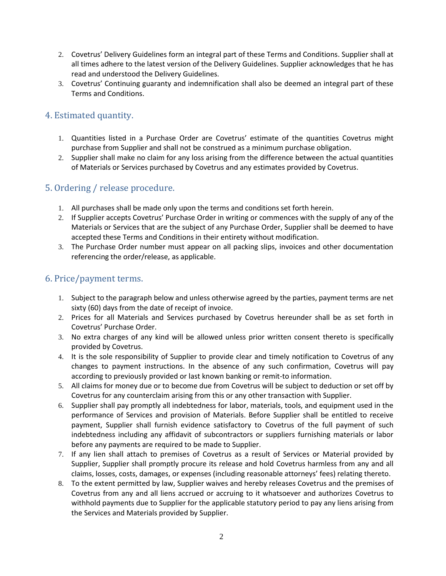- 2. Covetrus' Delivery Guidelines form an integral part of these Terms and Conditions. Supplier shall at all times adhere to the latest version of the Delivery Guidelines. Supplier acknowledges that he has read and understood the Delivery Guidelines.
- 3. Covetrus' Continuing guaranty and indemnification shall also be deemed an integral part of these Terms and Conditions.

# 4. Estimated quantity.

- 1. Quantities listed in a Purchase Order are Covetrus' estimate of the quantities Covetrus might purchase from Supplier and shall not be construed as a minimum purchase obligation.
- 2. Supplier shall make no claim for any loss arising from the difference between the actual quantities of Materials or Services purchased by Covetrus and any estimates provided by Covetrus.

# 5. Ordering / release procedure.

- 1. All purchases shall be made only upon the terms and conditions set forth herein.
- 2. If Supplier accepts Covetrus' Purchase Order in writing or commences with the supply of any of the Materials or Services that are the subject of any Purchase Order, Supplier shall be deemed to have accepted these Terms and Conditions in their entirety without modification.
- 3. The Purchase Order number must appear on all packing slips, invoices and other documentation referencing the order/release, as applicable.

### 6. Price/payment terms.

- 1. Subject to the paragraph below and unless otherwise agreed by the parties, payment terms are net sixty (60) days from the date of receipt of invoice.
- 2. Prices for all Materials and Services purchased by Covetrus hereunder shall be as set forth in Covetrus' Purchase Order.
- 3. No extra charges of any kind will be allowed unless prior written consent thereto is specifically provided by Covetrus.
- 4. It is the sole responsibility of Supplier to provide clear and timely notification to Covetrus of any changes to payment instructions. In the absence of any such confirmation, Covetrus will pay according to previously provided or last known banking or remit-to information.
- 5. All claims for money due or to become due from Covetrus will be subject to deduction or set off by Covetrus for any counterclaim arising from this or any other transaction with Supplier.
- 6. Supplier shall pay promptly all indebtedness for labor, materials, tools, and equipment used in the performance of Services and provision of Materials. Before Supplier shall be entitled to receive payment, Supplier shall furnish evidence satisfactory to Covetrus of the full payment of such indebtedness including any affidavit of subcontractors or suppliers furnishing materials or labor before any payments are required to be made to Supplier.
- 7. If any lien shall attach to premises of Covetrus as a result of Services or Material provided by Supplier, Supplier shall promptly procure its release and hold Covetrus harmless from any and all claims, losses, costs, damages, or expenses (including reasonable attorneys' fees) relating thereto.
- 8. To the extent permitted by law, Supplier waives and hereby releases Covetrus and the premises of Covetrus from any and all liens accrued or accruing to it whatsoever and authorizes Covetrus to withhold payments due to Supplier for the applicable statutory period to pay any liens arising from the Services and Materials provided by Supplier.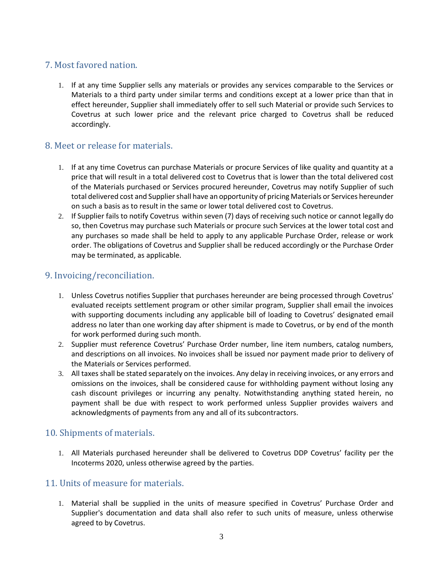# 7. Most favored nation.

1. If at any time Supplier sells any materials or provides any services comparable to the Services or Materials to a third party under similar terms and conditions except at a lower price than that in effect hereunder, Supplier shall immediately offer to sell such Material or provide such Services to Covetrus at such lower price and the relevant price charged to Covetrus shall be reduced accordingly.

### 8. Meet or release for materials.

- 1. If at any time Covetrus can purchase Materials or procure Services of like quality and quantity at a price that will result in a total delivered cost to Covetrus that is lower than the total delivered cost of the Materials purchased or Services procured hereunder, Covetrus may notify Supplier of such total delivered cost and Supplier shall have an opportunity of pricing Materials or Services hereunder on such a basis as to result in the same or lower total delivered cost to Covetrus.
- 2. If Supplier fails to notify Covetrus within seven (7) days of receiving such notice or cannot legally do so, then Covetrus may purchase such Materials or procure such Services at the lower total cost and any purchases so made shall be held to apply to any applicable Purchase Order, release or work order. The obligations of Covetrus and Supplier shall be reduced accordingly or the Purchase Order may be terminated, as applicable.

### 9. Invoicing/reconciliation.

- 1. Unless Covetrus notifies Supplier that purchases hereunder are being processed through Covetrus' evaluated receipts settlement program or other similar program, Supplier shall email the invoices with supporting documents including any applicable bill of loading to Covetrus' designated email address no later than one working day after shipment is made to Covetrus, or by end of the month for work performed during such month.
- 2. Supplier must reference Covetrus' Purchase Order number, line item numbers, catalog numbers, and descriptions on all invoices. No invoices shall be issued nor payment made prior to delivery of the Materials or Services performed.
- 3. All taxes shall be stated separately on the invoices. Any delay in receiving invoices, or any errors and omissions on the invoices, shall be considered cause for withholding payment without losing any cash discount privileges or incurring any penalty. Notwithstanding anything stated herein, no payment shall be due with respect to work performed unless Supplier provides waivers and acknowledgments of payments from any and all of its subcontractors.

#### 10. Shipments of materials.

1. All Materials purchased hereunder shall be delivered to Covetrus DDP Covetrus' facility per the Incoterms 2020, unless otherwise agreed by the parties.

#### 11. Units of measure for materials.

1. Material shall be supplied in the units of measure specified in Covetrus' Purchase Order and Supplier's documentation and data shall also refer to such units of measure, unless otherwise agreed to by Covetrus.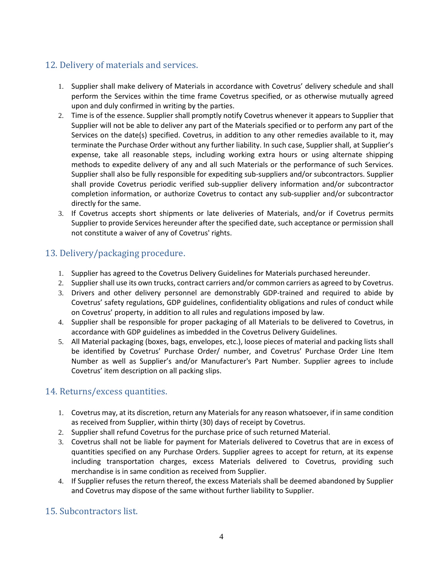# 12. Delivery of materials and services.

- 1. Supplier shall make delivery of Materials in accordance with Covetrus' delivery schedule and shall perform the Services within the time frame Covetrus specified, or as otherwise mutually agreed upon and duly confirmed in writing by the parties.
- 2. Time is of the essence. Supplier shall promptly notify Covetrus whenever it appears to Supplier that Supplier will not be able to deliver any part of the Materials specified or to perform any part of the Services on the date(s) specified. Covetrus, in addition to any other remedies available to it, may terminate the Purchase Order without any further liability. In such case, Supplier shall, at Supplier's expense, take all reasonable steps, including working extra hours or using alternate shipping methods to expedite delivery of any and all such Materials or the performance of such Services. Supplier shall also be fully responsible for expediting sub-suppliers and/or subcontractors. Supplier shall provide Covetrus periodic verified sub-supplier delivery information and/or subcontractor completion information, or authorize Covetrus to contact any sub-supplier and/or subcontractor directly for the same.
- 3. If Covetrus accepts short shipments or late deliveries of Materials, and/or if Covetrus permits Supplier to provide Services hereunder after the specified date, such acceptance or permission shall not constitute a waiver of any of Covetrus' rights.

# 13. Delivery/packaging procedure.

- 1. Supplier has agreed to the Covetrus Delivery Guidelines for Materials purchased hereunder.
- 2. Supplier shall use its own trucks, contract carriers and/or common carriers as agreed to by Covetrus.
- 3. Drivers and other delivery personnel are demonstrably GDP-trained and required to abide by Covetrus' safety regulations, GDP guidelines, confidentiality obligations and rules of conduct while on Covetrus' property, in addition to all rules and regulations imposed by law.
- 4. Supplier shall be responsible for proper packaging of all Materials to be delivered to Covetrus, in accordance with GDP guidelines as imbedded in the Covetrus Delivery Guidelines.
- 5. All Material packaging (boxes, bags, envelopes, etc.), loose pieces of material and packing lists shall be identified by Covetrus' Purchase Order/ number, and Covetrus' Purchase Order Line Item Number as well as Supplier's and/or Manufacturer's Part Number. Supplier agrees to include Covetrus' item description on all packing slips.

# 14. Returns/excess quantities.

- 1. Covetrus may, at its discretion, return any Materials for any reason whatsoever, if in same condition as received from Supplier, within thirty (30) days of receipt by Covetrus.
- 2. Supplier shall refund Covetrus for the purchase price of such returned Material.
- 3. Covetrus shall not be liable for payment for Materials delivered to Covetrus that are in excess of quantities specified on any Purchase Orders. Supplier agrees to accept for return, at its expense including transportation charges, excess Materials delivered to Covetrus, providing such merchandise is in same condition as received from Supplier.
- 4. If Supplier refuses the return thereof, the excess Materials shall be deemed abandoned by Supplier and Covetrus may dispose of the same without further liability to Supplier.

# 15. Subcontractors list.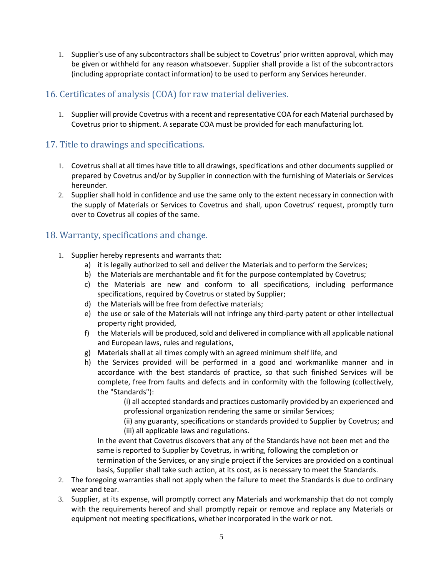1. Supplier's use of any subcontractors shall be subject to Covetrus' prior written approval, which may be given or withheld for any reason whatsoever. Supplier shall provide a list of the subcontractors (including appropriate contact information) to be used to perform any Services hereunder.

### 16. Certificates of analysis (COA) for raw material deliveries.

1. Supplier will provide Covetrus with a recent and representative COA for each Material purchased by Covetrus prior to shipment. A separate COA must be provided for each manufacturing lot.

### 17. Title to drawings and specifications.

- 1. Covetrus shall at all times have title to all drawings, specifications and other documents supplied or prepared by Covetrus and/or by Supplier in connection with the furnishing of Materials or Services hereunder.
- 2. Supplier shall hold in confidence and use the same only to the extent necessary in connection with the supply of Materials or Services to Covetrus and shall, upon Covetrus' request, promptly turn over to Covetrus all copies of the same.

# 18. Warranty, specifications and change.

- 1. Supplier hereby represents and warrants that:
	- a) it is legally authorized to sell and deliver the Materials and to perform the Services;
	- b) the Materials are merchantable and fit for the purpose contemplated by Covetrus;
	- c) the Materials are new and conform to all specifications, including performance specifications, required by Covetrus or stated by Supplier;
	- d) the Materials will be free from defective materials;
	- e) the use or sale of the Materials will not infringe any third-party patent or other intellectual property right provided,
	- f) the Materials will be produced, sold and delivered in compliance with all applicable national and European laws, rules and regulations,
	- g) Materials shall at all times comply with an agreed minimum shelf life, and
	- h) the Services provided will be performed in a good and workmanlike manner and in accordance with the best standards of practice, so that such finished Services will be complete, free from faults and defects and in conformity with the following (collectively, the "Standards"):

(i) all accepted standards and practices customarily provided by an experienced and professional organization rendering the same or similar Services;

(ii) any guaranty, specifications or standards provided to Supplier by Covetrus; and (iii) all applicable laws and regulations.

In the event that Covetrus discovers that any of the Standards have not been met and the same is reported to Supplier by Covetrus, in writing, following the completion or termination of the Services, or any single project if the Services are provided on a continual

basis, Supplier shall take such action, at its cost, as is necessary to meet the Standards.

- 2. The foregoing warranties shall not apply when the failure to meet the Standards is due to ordinary wear and tear.
- 3. Supplier, at its expense, will promptly correct any Materials and workmanship that do not comply with the requirements hereof and shall promptly repair or remove and replace any Materials or equipment not meeting specifications, whether incorporated in the work or not.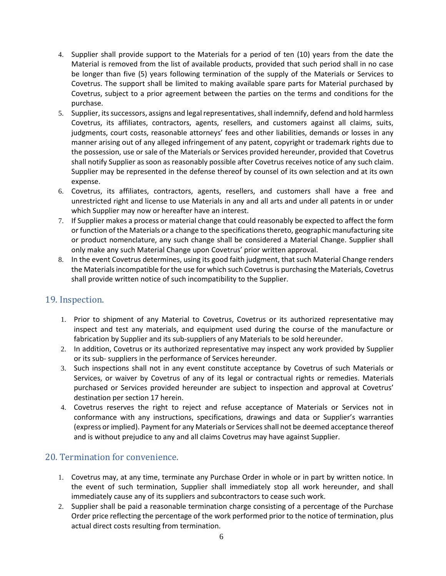- 4. Supplier shall provide support to the Materials for a period of ten (10) years from the date the Material is removed from the list of available products, provided that such period shall in no case be longer than five (5) years following termination of the supply of the Materials or Services to Covetrus. The support shall be limited to making available spare parts for Material purchased by Covetrus, subject to a prior agreement between the parties on the terms and conditions for the purchase.
- 5. Supplier, its successors, assigns and legal representatives, shall indemnify, defend and hold harmless Covetrus, its affiliates, contractors, agents, resellers, and customers against all claims, suits, judgments, court costs, reasonable attorneys' fees and other liabilities, demands or losses in any manner arising out of any alleged infringement of any patent, copyright or trademark rights due to the possession, use or sale of the Materials or Services provided hereunder, provided that Covetrus shall notify Supplier as soon as reasonably possible after Covetrus receives notice of any such claim. Supplier may be represented in the defense thereof by counsel of its own selection and at its own expense.
- 6. Covetrus, its affiliates, contractors, agents, resellers, and customers shall have a free and unrestricted right and license to use Materials in any and all arts and under all patents in or under which Supplier may now or hereafter have an interest.
- 7. If Supplier makes a process or material change that could reasonably be expected to affect the form or function of the Materials or a change to the specifications thereto, geographic manufacturing site or product nomenclature, any such change shall be considered a Material Change. Supplier shall only make any such Material Change upon Covetrus' prior written approval.
- 8. In the event Covetrus determines, using its good faith judgment, that such Material Change renders the Materials incompatible for the use for which such Covetrusis purchasing the Materials, Covetrus shall provide written notice of such incompatibility to the Supplier.

# 19. Inspection.

- 1. Prior to shipment of any Material to Covetrus, Covetrus or its authorized representative may inspect and test any materials, and equipment used during the course of the manufacture or fabrication by Supplier and its sub-suppliers of any Materials to be sold hereunder.
- 2. In addition, Covetrus or its authorized representative may inspect any work provided by Supplier or its sub- suppliers in the performance of Services hereunder.
- 3. Such inspections shall not in any event constitute acceptance by Covetrus of such Materials or Services, or waiver by Covetrus of any of its legal or contractual rights or remedies. Materials purchased or Services provided hereunder are subject to inspection and approval at Covetrus' destination per section 17 herein.
- 4. Covetrus reserves the right to reject and refuse acceptance of Materials or Services not in conformance with any instructions, specifications, drawings and data or Supplier's warranties (express or implied). Payment for any Materials or Services shall not be deemed acceptance thereof and is without prejudice to any and all claims Covetrus may have against Supplier.

# 20. Termination for convenience.

- 1. Covetrus may, at any time, terminate any Purchase Order in whole or in part by written notice. In the event of such termination, Supplier shall immediately stop all work hereunder, and shall immediately cause any of its suppliers and subcontractors to cease such work.
- 2. Supplier shall be paid a reasonable termination charge consisting of a percentage of the Purchase Order price reflecting the percentage of the work performed prior to the notice of termination, plus actual direct costs resulting from termination.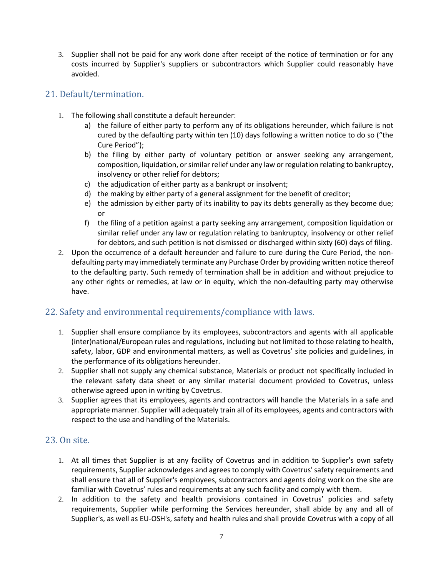3. Supplier shall not be paid for any work done after receipt of the notice of termination or for any costs incurred by Supplier's suppliers or subcontractors which Supplier could reasonably have avoided.

### 21. Default/termination.

- 1. The following shall constitute a default hereunder:
	- a) the failure of either party to perform any of its obligations hereunder, which failure is not cured by the defaulting party within ten (10) days following a written notice to do so ("the Cure Period");
	- b) the filing by either party of voluntary petition or answer seeking any arrangement, composition, liquidation, or similar relief under any law or regulation relating to bankruptcy, insolvency or other relief for debtors;
	- c) the adjudication of either party as a bankrupt or insolvent;
	- d) the making by either party of a general assignment for the benefit of creditor;
	- e) the admission by either party of its inability to pay its debts generally as they become due; or
	- f) the filing of a petition against a party seeking any arrangement, composition liquidation or similar relief under any law or regulation relating to bankruptcy, insolvency or other relief for debtors, and such petition is not dismissed or discharged within sixty (60) days of filing.
- 2. Upon the occurrence of a default hereunder and failure to cure during the Cure Period, the nondefaulting party may immediately terminate any Purchase Order by providing written notice thereof to the defaulting party. Such remedy of termination shall be in addition and without prejudice to any other rights or remedies, at law or in equity, which the non-defaulting party may otherwise have.

# 22. Safety and environmental requirements/compliance with laws.

- 1. Supplier shall ensure compliance by its employees, subcontractors and agents with all applicable (inter)national/European rules and regulations, including but not limited to those relating to health, safety, labor, GDP and environmental matters, as well as Covetrus' site policies and guidelines, in the performance of its obligations hereunder.
- 2. Supplier shall not supply any chemical substance, Materials or product not specifically included in the relevant safety data sheet or any similar material document provided to Covetrus, unless otherwise agreed upon in writing by Covetrus.
- 3. Supplier agrees that its employees, agents and contractors will handle the Materials in a safe and appropriate manner. Supplier will adequately train all of its employees, agents and contractors with respect to the use and handling of the Materials.

#### 23. On site.

- 1. At all times that Supplier is at any facility of Covetrus and in addition to Supplier's own safety requirements, Supplier acknowledges and agrees to comply with Covetrus' safety requirements and shall ensure that all of Supplier's employees, subcontractors and agents doing work on the site are familiar with Covetrus' rules and requirements at any such facility and comply with them.
- 2. In addition to the safety and health provisions contained in Covetrus' policies and safety requirements, Supplier while performing the Services hereunder, shall abide by any and all of Supplier's, as well as EU-OSH's, safety and health rules and shall provide Covetrus with a copy of all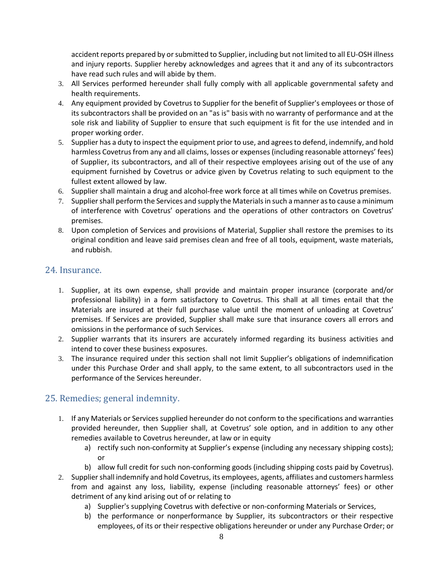accident reports prepared by or submitted to Supplier, including but not limited to all EU-OSH illness and injury reports. Supplier hereby acknowledges and agrees that it and any of its subcontractors have read such rules and will abide by them.

- 3. All Services performed hereunder shall fully comply with all applicable governmental safety and health requirements.
- 4. Any equipment provided by Covetrus to Supplier for the benefit of Supplier's employees or those of its subcontractors shall be provided on an "as is" basis with no warranty of performance and at the sole risk and liability of Supplier to ensure that such equipment is fit for the use intended and in proper working order.
- 5. Supplier has a duty to inspect the equipment prior to use, and agrees to defend, indemnify, and hold harmless Covetrus from any and all claims, losses or expenses (including reasonable attorneys' fees) of Supplier, its subcontractors, and all of their respective employees arising out of the use of any equipment furnished by Covetrus or advice given by Covetrus relating to such equipment to the fullest extent allowed by law.
- 6. Supplier shall maintain a drug and alcohol-free work force at all times while on Covetrus premises.
- 7. Supplier shall perform the Services and supply the Materials in such a manner as to cause a minimum of interference with Covetrus' operations and the operations of other contractors on Covetrus' premises.
- 8. Upon completion of Services and provisions of Material, Supplier shall restore the premises to its original condition and leave said premises clean and free of all tools, equipment, waste materials, and rubbish.

### 24. Insurance.

- 1. Supplier, at its own expense, shall provide and maintain proper insurance (corporate and/or professional liability) in a form satisfactory to Covetrus. This shall at all times entail that the Materials are insured at their full purchase value until the moment of unloading at Covetrus' premises. If Services are provided, Supplier shall make sure that insurance covers all errors and omissions in the performance of such Services.
- 2. Supplier warrants that its insurers are accurately informed regarding its business activities and intend to cover these business exposures.
- 3. The insurance required under this section shall not limit Supplier's obligations of indemnification under this Purchase Order and shall apply, to the same extent, to all subcontractors used in the performance of the Services hereunder.

# 25. Remedies; general indemnity.

- 1. If any Materials or Services supplied hereunder do not conform to the specifications and warranties provided hereunder, then Supplier shall, at Covetrus' sole option, and in addition to any other remedies available to Covetrus hereunder, at law or in equity
	- a) rectify such non-conformity at Supplier's expense (including any necessary shipping costs); or
	- b) allow full credit for such non-conforming goods (including shipping costs paid by Covetrus).
- 2. Supplier shall indemnify and hold Covetrus, its employees, agents, affiliates and customers harmless from and against any loss, liability, expense (including reasonable attorneys' fees) or other detriment of any kind arising out of or relating to
	- a) Supplier's supplying Covetrus with defective or non-conforming Materials or Services,
	- b) the performance or nonperformance by Supplier, its subcontractors or their respective employees, of its or their respective obligations hereunder or under any Purchase Order; or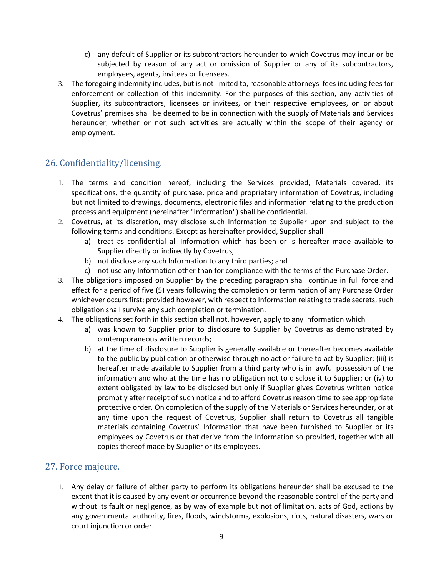- c) any default of Supplier or its subcontractors hereunder to which Covetrus may incur or be subjected by reason of any act or omission of Supplier or any of its subcontractors, employees, agents, invitees or licensees.
- 3. The foregoing indemnity includes, but is not limited to, reasonable attorneys' fees including fees for enforcement or collection of this indemnity. For the purposes of this section, any activities of Supplier, its subcontractors, licensees or invitees, or their respective employees, on or about Covetrus' premises shall be deemed to be in connection with the supply of Materials and Services hereunder, whether or not such activities are actually within the scope of their agency or employment.

# 26. Confidentiality/licensing.

- 1. The terms and condition hereof, including the Services provided, Materials covered, its specifications, the quantity of purchase, price and proprietary information of Covetrus, including but not limited to drawings, documents, electronic files and information relating to the production process and equipment (hereinafter "Information") shall be confidential.
- 2. Covetrus, at its discretion, may disclose such Information to Supplier upon and subject to the following terms and conditions. Except as hereinafter provided, Supplier shall
	- a) treat as confidential all Information which has been or is hereafter made available to Supplier directly or indirectly by Covetrus,
	- b) not disclose any such Information to any third parties; and
	- c) not use any Information other than for compliance with the terms of the Purchase Order.
- 3. The obligations imposed on Supplier by the preceding paragraph shall continue in full force and effect for a period of five (5) years following the completion or termination of any Purchase Order whichever occurs first; provided however, with respect to Information relating to trade secrets, such obligation shall survive any such completion or termination.
- 4. The obligations set forth in this section shall not, however, apply to any Information which
	- a) was known to Supplier prior to disclosure to Supplier by Covetrus as demonstrated by contemporaneous written records;
	- b) at the time of disclosure to Supplier is generally available or thereafter becomes available to the public by publication or otherwise through no act or failure to act by Supplier; (iii) is hereafter made available to Supplier from a third party who is in lawful possession of the information and who at the time has no obligation not to disclose it to Supplier; or (iv) to extent obligated by law to be disclosed but only if Supplier gives Covetrus written notice promptly after receipt of such notice and to afford Covetrus reason time to see appropriate protective order. On completion of the supply of the Materials or Services hereunder, or at any time upon the request of Covetrus, Supplier shall return to Covetrus all tangible materials containing Covetrus' Information that have been furnished to Supplier or its employees by Covetrus or that derive from the Information so provided, together with all copies thereof made by Supplier or its employees.

#### 27. Force majeure.

1. Any delay or failure of either party to perform its obligations hereunder shall be excused to the extent that it is caused by any event or occurrence beyond the reasonable control of the party and without its fault or negligence, as by way of example but not of limitation, acts of God, actions by any governmental authority, fires, floods, windstorms, explosions, riots, natural disasters, wars or court injunction or order.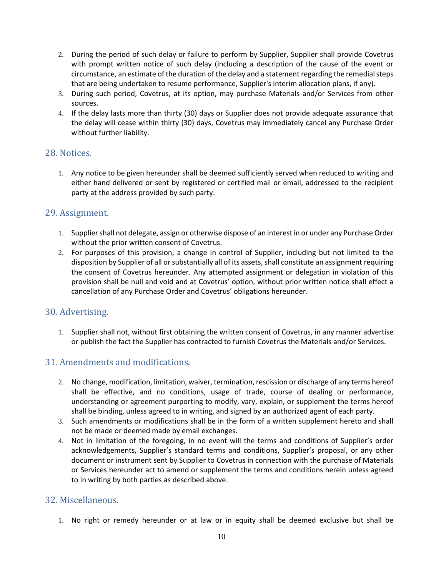- 2. During the period of such delay or failure to perform by Supplier, Supplier shall provide Covetrus with prompt written notice of such delay (including a description of the cause of the event or circumstance, an estimate of the duration of the delay and a statement regarding the remedial steps that are being undertaken to resume performance, Supplier's interim allocation plans, if any).
- 3. During such period, Covetrus, at its option, may purchase Materials and/or Services from other sources.
- 4. If the delay lasts more than thirty (30) days or Supplier does not provide adequate assurance that the delay will cease within thirty (30) days, Covetrus may immediately cancel any Purchase Order without further liability.

#### 28. Notices.

1. Any notice to be given hereunder shall be deemed sufficiently served when reduced to writing and either hand delivered or sent by registered or certified mail or email, addressed to the recipient party at the address provided by such party.

### 29. Assignment.

- 1. Supplier shall not delegate, assign or otherwise dispose of an interest in or under any Purchase Order without the prior written consent of Covetrus.
- 2. For purposes of this provision, a change in control of Supplier, including but not limited to the disposition by Supplier of all or substantially all of its assets, shall constitute an assignment requiring the consent of Covetrus hereunder. Any attempted assignment or delegation in violation of this provision shall be null and void and at Covetrus' option, without prior written notice shall effect a cancellation of any Purchase Order and Covetrus' obligations hereunder.

#### 30. Advertising.

1. Supplier shall not, without first obtaining the written consent of Covetrus, in any manner advertise or publish the fact the Supplier has contracted to furnish Covetrus the Materials and/or Services.

#### 31. Amendments and modifications.

- 2. No change, modification, limitation, waiver, termination, rescission or discharge of any terms hereof shall be effective, and no conditions, usage of trade, course of dealing or performance, understanding or agreement purporting to modify, vary, explain, or supplement the terms hereof shall be binding, unless agreed to in writing, and signed by an authorized agent of each party.
- 3. Such amendments or modifications shall be in the form of a written supplement hereto and shall not be made or deemed made by email exchanges.
- 4. Not in limitation of the foregoing, in no event will the terms and conditions of Supplier's order acknowledgements, Supplier's standard terms and conditions, Supplier's proposal, or any other document or instrument sent by Supplier to Covetrus in connection with the purchase of Materials or Services hereunder act to amend or supplement the terms and conditions herein unless agreed to in writing by both parties as described above.

#### 32. Miscellaneous.

1. No right or remedy hereunder or at law or in equity shall be deemed exclusive but shall be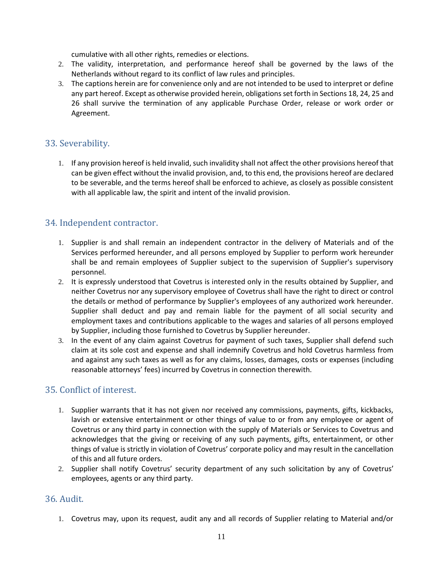cumulative with all other rights, remedies or elections.

- 2. The validity, interpretation, and performance hereof shall be governed by the laws of the Netherlands without regard to its conflict of law rules and principles.
- 3. The captions herein are for convenience only and are not intended to be used to interpret or define any part hereof. Except as otherwise provided herein, obligations set forth in Sections 18, 24, 25 and 26 shall survive the termination of any applicable Purchase Order, release or work order or Agreement.

# 33. Severability.

1. If any provision hereof is held invalid, such invalidity shall not affect the other provisions hereof that can be given effect without the invalid provision, and, to this end, the provisions hereof are declared to be severable, and the terms hereof shall be enforced to achieve, as closely as possible consistent with all applicable law, the spirit and intent of the invalid provision.

# 34. Independent contractor.

- 1. Supplier is and shall remain an independent contractor in the delivery of Materials and of the Services performed hereunder, and all persons employed by Supplier to perform work hereunder shall be and remain employees of Supplier subject to the supervision of Supplier's supervisory personnel.
- 2. It is expressly understood that Covetrus is interested only in the results obtained by Supplier, and neither Covetrus nor any supervisory employee of Covetrus shall have the right to direct or control the details or method of performance by Supplier's employees of any authorized work hereunder. Supplier shall deduct and pay and remain liable for the payment of all social security and employment taxes and contributions applicable to the wages and salaries of all persons employed by Supplier, including those furnished to Covetrus by Supplier hereunder.
- 3. In the event of any claim against Covetrus for payment of such taxes, Supplier shall defend such claim at its sole cost and expense and shall indemnify Covetrus and hold Covetrus harmless from and against any such taxes as well as for any claims, losses, damages, costs or expenses (including reasonable attorneys' fees) incurred by Covetrus in connection therewith.

# 35. Conflict of interest.

- 1. Supplier warrants that it has not given nor received any commissions, payments, gifts, kickbacks, lavish or extensive entertainment or other things of value to or from any employee or agent of Covetrus or any third party in connection with the supply of Materials or Services to Covetrus and acknowledges that the giving or receiving of any such payments, gifts, entertainment, or other things of value is strictly in violation of Covetrus' corporate policy and may result in the cancellation of this and all future orders.
- 2. Supplier shall notify Covetrus' security department of any such solicitation by any of Covetrus' employees, agents or any third party.

#### 36. Audit.

1. Covetrus may, upon its request, audit any and all records of Supplier relating to Material and/or